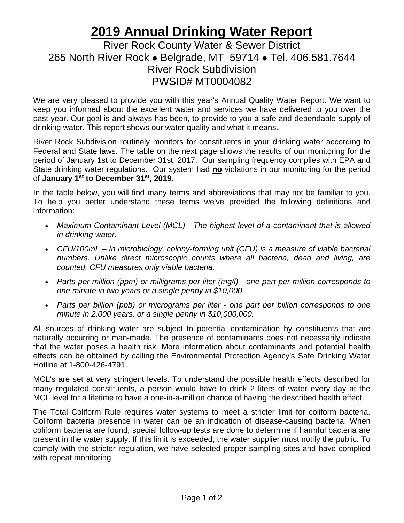## **2019 Annual Drinking Water Report**

## River Rock County Water & Sewer District 265 North River Rock ⚫ Belgrade, MT 59714 ⚫ Tel. 406.581.7644 River Rock Subdivision PWSID# MT0004082

We are very pleased to provide you with this year's Annual Quality Water Report. We want to keep you informed about the excellent water and services we have delivered to you over the past year. Our goal is and always has been, to provide to you a safe and dependable supply of drinking water. This report shows our water quality and what it means.

River Rock Subdivision routinely monitors for constituents in your drinking water according to Federal and State laws. The table on the next page shows the results of our monitoring for the period of January 1st to December 31st, 2017. Our sampling frequency complies with EPA and State drinking water regulations. Our system had **no** violations in our monitoring for the period of **January 1st to December 31st, 2019.**

In the table below, you will find many terms and abbreviations that may not be familiar to you. To help you better understand these terms we've provided the following definitions and information:

- *Maximum Contaminant Level (MCL) - The highest level of a contaminant that is allowed in drinking water.*
- *CFU/100mL – In microbiology, colony-forming unit (CFU) is a measure of viable bacterial numbers. Unlike direct microscopic counts where all bacteria, dead and living, are counted, CFU measures only viable bacteria.*
- *Parts per million (ppm) or milligrams per liter (mg/l) - one part per million corresponds to one minute in two years or a single penny in \$10,000.*
- *Parts per billion (ppb) or micrograms per liter - one part per billion corresponds to one minute in 2,000 years, or a single penny in \$10,000,000.*

All sources of drinking water are subject to potential contamination by constituents that are naturally occurring or man-made. The presence of contaminants does not necessarily indicate that the water poses a health risk. More information about contaminants and potential health effects can be obtained by calling the Environmental Protection Agency's Safe Drinking Water Hotline at 1-800-426-4791.

MCL's are set at very stringent levels. To understand the possible health effects described for many regulated constituents, a person would have to drink 2 liters of water every day at the MCL level for a lifetime to have a one-in-a-million chance of having the described health effect.

The Total Coliform Rule requires water systems to meet a stricter limit for coliform bacteria. Coliform bacteria presence in water can be an indication of disease-causing bacteria. When coliform bacteria are found, special follow-up tests are done to determine if harmful bacteria are present in the water supply. If this limit is exceeded, the water supplier must notify the public. To comply with the stricter regulation, we have selected proper sampling sites and have complied with repeat monitoring.